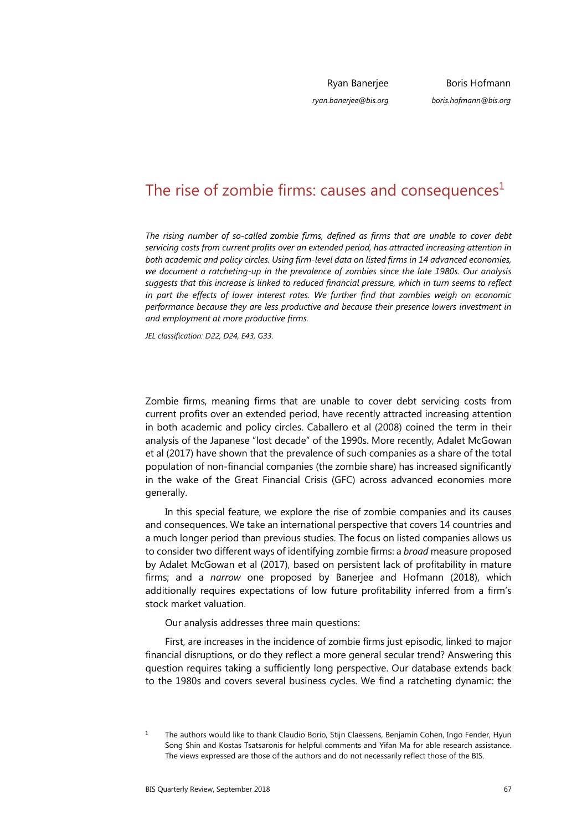Ryan Banerjee

Boris Hofmann *boris.hofmann@bis.org*

*ryan.banerjee@bis.org* 

The rise of zombie firms: causes and consequences $<sup>1</sup>$  $<sup>1</sup>$  $<sup>1</sup>$ </sup>

*The rising number of so-called zombie firms, defined as firms that are unable to cover debt servicing costs from current profits over an extended period, has attracted increasing attention in both academic and policy circles. Using firm-level data on listed firms in 14 advanced economies, we document a ratcheting-up in the prevalence of zombies since the late 1980s. Our analysis suggests that this increase is linked to reduced financial pressure, which in turn seems to reflect in part the effects of lower interest rates. We further find that zombies weigh on economic performance because they are less productive and because their presence lowers investment in and employment at more productive firms.* 

*JEL classification: D22, D24, E43, G33*.

Zombie firms, meaning firms that are unable to cover debt servicing costs from current profits over an extended period, have recently attracted increasing attention in both academic and policy circles. Caballero et al (2008) coined the term in their analysis of the Japanese "lost decade" of the 1990s. More recently, Adalet McGowan et al (2017) have shown that the prevalence of such companies as a share of the total population of non-financial companies (the zombie share) has increased significantly in the wake of the Great Financial Crisis (GFC) across advanced economies more generally.

In this special feature, we explore the rise of zombie companies and its causes and consequences. We take an international perspective that covers 14 countries and a much longer period than previous studies. The focus on listed companies allows us to consider two different ways of identifying zombie firms: a *broad* measure proposed by Adalet McGowan et al (2017), based on persistent lack of profitability in mature firms; and a *narrow* one proposed by Banerjee and Hofmann (2018), which additionally requires expectations of low future profitability inferred from a firm's stock market valuation.

Our analysis addresses three main questions:

First, are increases in the incidence of zombie firms just episodic, linked to major financial disruptions, or do they reflect a more general secular trend? Answering this question requires taking a sufficiently long perspective. Our database extends back to the 1980s and covers several business cycles. We find a ratcheting dynamic: the

<span id="page-0-0"></span><sup>1</sup> The authors would like to thank Claudio Borio, Stijn Claessens, Benjamin Cohen, Ingo Fender, Hyun Song Shin and Kostas Tsatsaronis for helpful comments and Yifan Ma for able research assistance. The views expressed are those of the authors and do not necessarily reflect those of the BIS.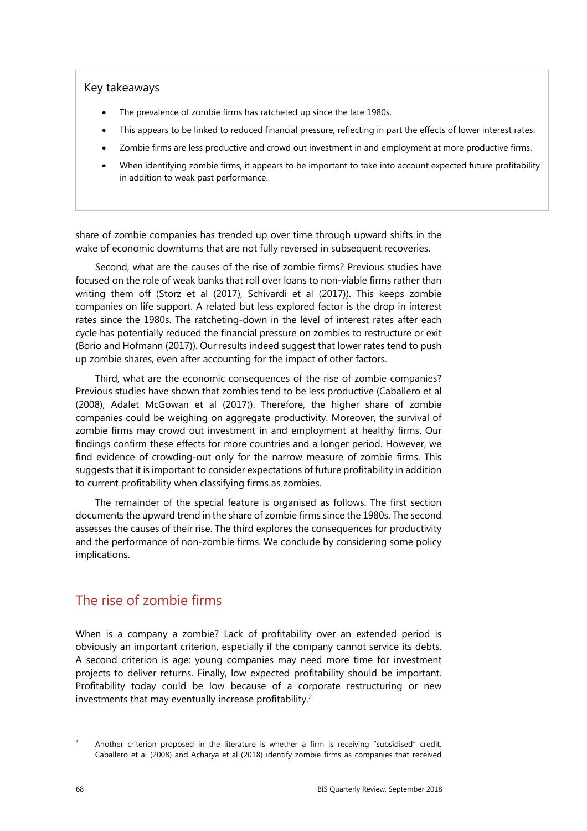#### Key takeaways

- The prevalence of zombie firms has ratcheted up since the late 1980s.
- This appears to be linked to reduced financial pressure, reflecting in part the effects of lower interest rates.
- Zombie firms are less productive and crowd out investment in and employment at more productive firms.
- When identifying zombie firms, it appears to be important to take into account expected future profitability in addition to weak past performance.

share of zombie companies has trended up over time through upward shifts in the wake of economic downturns that are not fully reversed in subsequent recoveries.

Second, what are the causes of the rise of zombie firms? Previous studies have focused on the role of weak banks that roll over loans to non-viable firms rather than writing them off (Storz et al (2017), Schivardi et al (2017)). This keeps zombie companies on life support. A related but less explored factor is the drop in interest rates since the 1980s. The ratcheting-down in the level of interest rates after each cycle has potentially reduced the financial pressure on zombies to restructure or exit (Borio and Hofmann (2017)). Our results indeed suggest that lower rates tend to push up zombie shares, even after accounting for the impact of other factors.

Third, what are the economic consequences of the rise of zombie companies? Previous studies have shown that zombies tend to be less productive (Caballero et al (2008), Adalet McGowan et al (2017)). Therefore, the higher share of zombie companies could be weighing on aggregate productivity. Moreover, the survival of zombie firms may crowd out investment in and employment at healthy firms. Our findings confirm these effects for more countries and a longer period. However, we find evidence of crowding-out only for the narrow measure of zombie firms. This suggests that it is important to consider expectations of future profitability in addition to current profitability when classifying firms as zombies.

The remainder of the special feature is organised as follows. The first section documents the upward trend in the share of zombie firms since the 1980s. The second assesses the causes of their rise. The third explores the consequences for productivity and the performance of non-zombie firms. We conclude by considering some policy implications.

# The rise of zombie firms

When is a company a zombie? Lack of profitability over an extended period is obviously an important criterion, especially if the company cannot service its debts. A second criterion is age: young companies may need more time for investment projects to deliver returns. Finally, low expected profitability should be important. Profitability today could be low because of a corporate restructuring or new investments that may eventually increase profitability.<sup>[2](#page-1-0)</sup>

<span id="page-1-0"></span><sup>2</sup> Another criterion proposed in the literature is whether a firm is receiving "subsidised" credit. Caballero et al (2008) and Acharya et al (2018) identify zombie firms as companies that received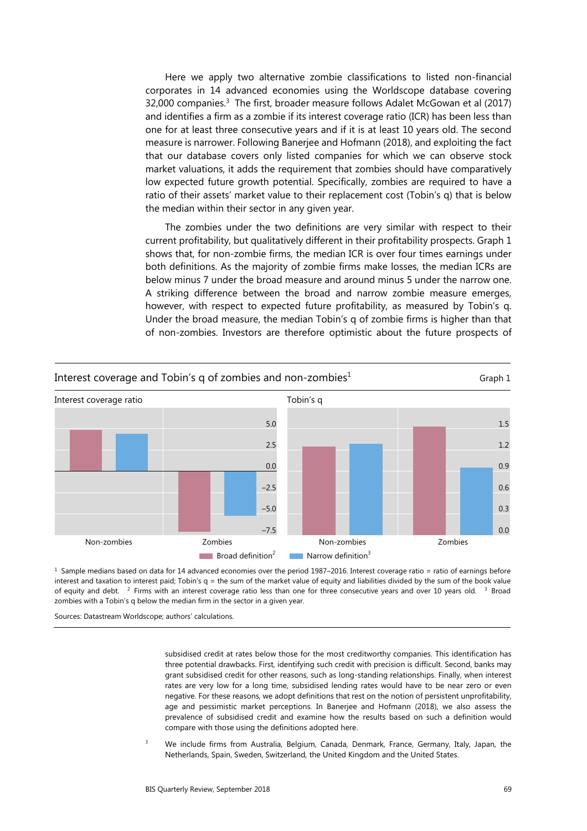Here we apply two alternative zombie classifications to listed non-financial corporates in 14 advanced economies using the Worldscope database covering 32,000 companies.<sup>3</sup> The first, broader measure follows Adalet McGowan et al (2017) and identifies a firm as a zombie if its interest coverage ratio (ICR) has been less than one for at least three consecutive years and if it is at least 10 years old. The second measure is narrower. Following Banerjee and Hofmann (2018), and exploiting the fact that our database covers only listed companies for which we can observe stock market valuations, it adds the requirement that zombies should have comparatively low expected future growth potential. Specifically, zombies are required to have a ratio of their assets' market value to their replacement cost (Tobin's q) that is below the median within their sector in any given year.

The zombies under the two definitions are very similar with respect to their current profitability, but qualitatively different in their profitability prospects. Graph 1 shows that, for non-zombie firms, the median ICR is over four times earnings under both definitions. As the majority of zombie firms make losses, the median ICRs are below minus 7 under the broad measure and around minus 5 under the narrow one. A striking difference between the broad and narrow zombie measure emerges, however, with respect to expected future profitability, as measured by Tobin's q. Under the broad measure, the median Tobin's q of zombie firms is higher than that of non-zombies. Investors are therefore optimistic about the future prospects of



 $1$  Sample medians based on data for 14 advanced economies over the period 1987–2016. Interest coverage ratio = ratio of earnings before interest and taxation to interest paid; Tobin's q = the sum of the market value of equity and liabilities divided by the sum of the book value of equity and debt. <sup>2</sup> Firms with an interest coverage ratio less than one for three consecutive years and over 10 years old. <sup>3</sup> Broad zombies with a Tobin's q below the median firm in the sector in a given year.

<span id="page-2-0"></span>Sources: Datastream Worldscope; authors' calculations.

subsidised credit at rates below those for the most creditworthy companies. This identification has three potential drawbacks. First, identifying such credit with precision is difficult. Second, banks may grant subsidised credit for other reasons, such as long-standing relationships. Finally, when interest rates are very low for a long time, subsidised lending rates would have to be near zero or even negative. For these reasons, we adopt definitions that rest on the notion of persistent unprofitability, age and pessimistic market perceptions. In Banerjee and Hofmann (2018), we also assess the prevalence of subsidised credit and examine how the results based on such a definition would compare with those using the definitions adopted here.

3 We include firms from Australia, Belgium, Canada, Denmark, France, Germany, Italy, Japan, the Netherlands, Spain, Sweden, Switzerland, the United Kingdom and the United States.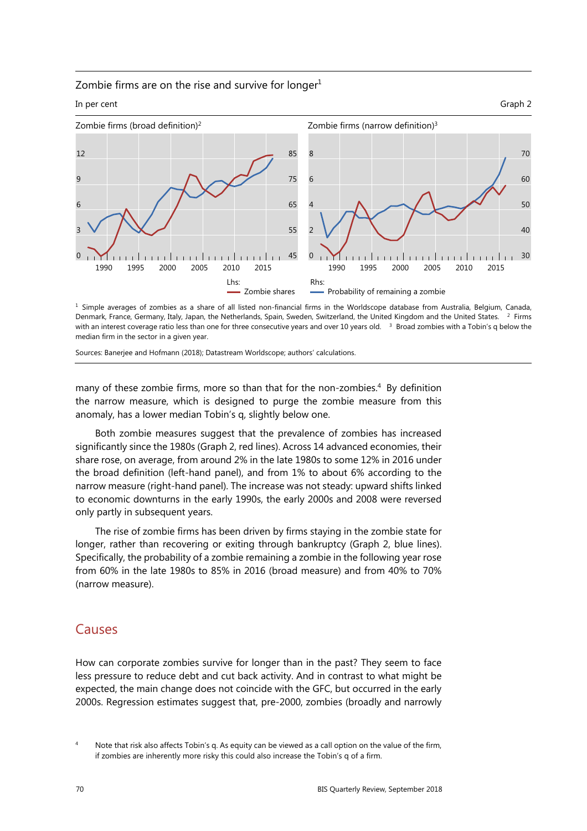#### Zombie firms are on the rise and survive for longer $1$



<sup>1</sup> Simple averages of zombies as a share of all listed non-financial firms in the Worldscope database from Australia, Belgium, Canada, Denmark, France, Germany, Italy, Japan, the Netherlands, Spain, Sweden, Switzerland, the United Kingdom and the United States. 2 Firms with an interest coverage ratio less than one for three consecutive years and over 10 years old. <sup>3</sup> Broad zombies with a Tobin's q below the median firm in the sector in a given year.

Sources: Banerjee and Hofmann (2018); Datastream Worldscope; authors' calculations.

many of these zombie firms, more so than that for the non-zombies.<sup>[4](#page-3-0)</sup> By definition the narrow measure, which is designed to purge the zombie measure from this anomaly, has a lower median Tobin's q, slightly below one.

Both zombie measures suggest that the prevalence of zombies has increased significantly since the 1980s (Graph 2, red lines). Across 14 advanced economies, their share rose, on average, from around 2% in the late 1980s to some 12% in 2016 under the broad definition (left-hand panel), and from 1% to about 6% according to the narrow measure (right-hand panel). The increase was not steady: upward shifts linked to economic downturns in the early 1990s, the early 2000s and 2008 were reversed only partly in subsequent years.

The rise of zombie firms has been driven by firms staying in the zombie state for longer, rather than recovering or exiting through bankruptcy (Graph 2, blue lines). Specifically, the probability of a zombie remaining a zombie in the following year rose from 60% in the late 1980s to 85% in 2016 (broad measure) and from 40% to 70% (narrow measure).

## Causes

How can corporate zombies survive for longer than in the past? They seem to face less pressure to reduce debt and cut back activity. And in contrast to what might be expected, the main change does not coincide with the GFC, but occurred in the early 2000s. Regression estimates suggest that, pre-2000, zombies (broadly and narrowly

<span id="page-3-0"></span><sup>4</sup> Note that risk also affects Tobin's q. As equity can be viewed as a call option on the value of the firm, if zombies are inherently more risky this could also increase the Tobin's q of a firm.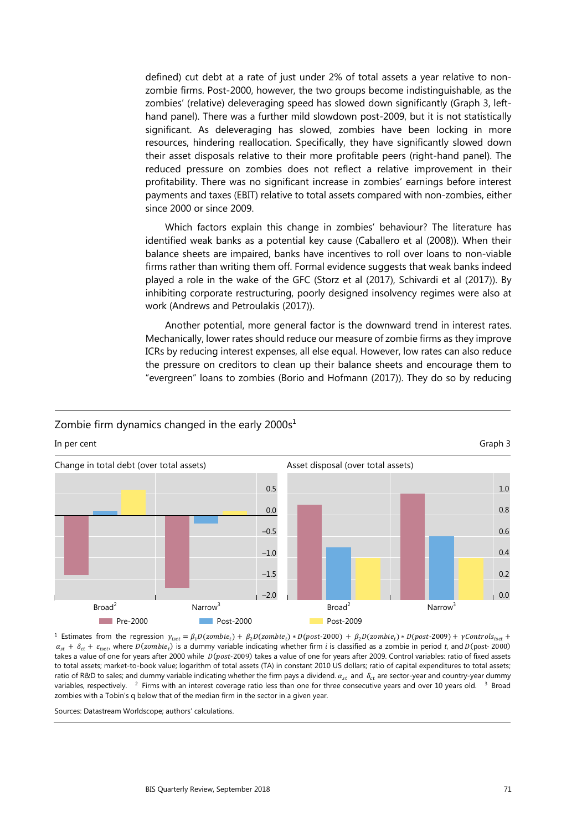defined) cut debt at a rate of just under 2% of total assets a year relative to nonzombie firms. Post-2000, however, the two groups become indistinguishable, as the zombies' (relative) deleveraging speed has slowed down significantly (Graph 3, lefthand panel). There was a further mild slowdown post-2009, but it is not statistically significant. As deleveraging has slowed, zombies have been locking in more resources, hindering reallocation. Specifically, they have significantly slowed down their asset disposals relative to their more profitable peers (right-hand panel). The reduced pressure on zombies does not reflect a relative improvement in their profitability. There was no significant increase in zombies' earnings before interest payments and taxes (EBIT) relative to total assets compared with non-zombies, either since 2000 or since 2009.

Which factors explain this change in zombies' behaviour? The literature has identified weak banks as a potential key cause (Caballero et al (2008)). When their balance sheets are impaired, banks have incentives to roll over loans to non-viable firms rather than writing them off. Formal evidence suggests that weak banks indeed played a role in the wake of the GFC (Storz et al (2017), Schivardi et al (2017)). By inhibiting corporate restructuring, poorly designed insolvency regimes were also at work (Andrews and Petroulakis (2017)).

Another potential, more general factor is the downward trend in interest rates. Mechanically, lower rates should reduce our measure of zombie firms as they improve ICRs by reducing interest expenses, all else equal. However, low rates can also reduce the pressure on creditors to clean up their balance sheets and encourage them to "evergreen" loans to zombies (Borio and Hofmann (2017)). They do so by reducing

#### Zombie firm dynamics changed in the early  $2000s<sup>1</sup>$

In per cent Graph 3 and Graph 3 and Graph 3 and Graph 3 and Graph 3 and Graph 3 and Graph 3 and Graph 3 and Gr



 $^1$  Estimates from the regression  $y_{\text{isct}} = \beta_1 D(\text{zombie}_t) + \beta_2 D(\text{zombie}_t) * D(\text{post-2000}) + \beta_2 D(\text{zombie}_t) * D(\text{post-2009}) + \gamma \text{Controls}_{\text{isct}} + \beta_2 D(\text{zombie}_t)$  $\alpha_{st} + \delta_{ct} + \varepsilon_{isct}$ , where  $D(zombie_t)$  is a dummy variable indicating whether firm *i* is classified as a zombie in period *t*, and  $D(post-2000)$ takes a value of one for years after 2000 while  $D(post-2009)$  takes a value of one for years after 2009. Control variables: ratio of fixed assets to total assets; market-to-book value; logarithm of total assets (TA) in constant 2010 US dollars; ratio of capital expenditures to total assets; ratio of R&D to sales; and dummy variable indicating whether the firm pays a dividend.  $\alpha_{st}$  and  $\delta_{st}$  are sector-year and country-year dummy variables, respectively. <sup>2</sup> Firms with an interest coverage ratio less than one for three consecutive years and over 10 years old. <sup>3</sup> Broad zombies with a Tobin's q below that of the median firm in the sector in a given year.

Sources: Datastream Worldscope; authors' calculations.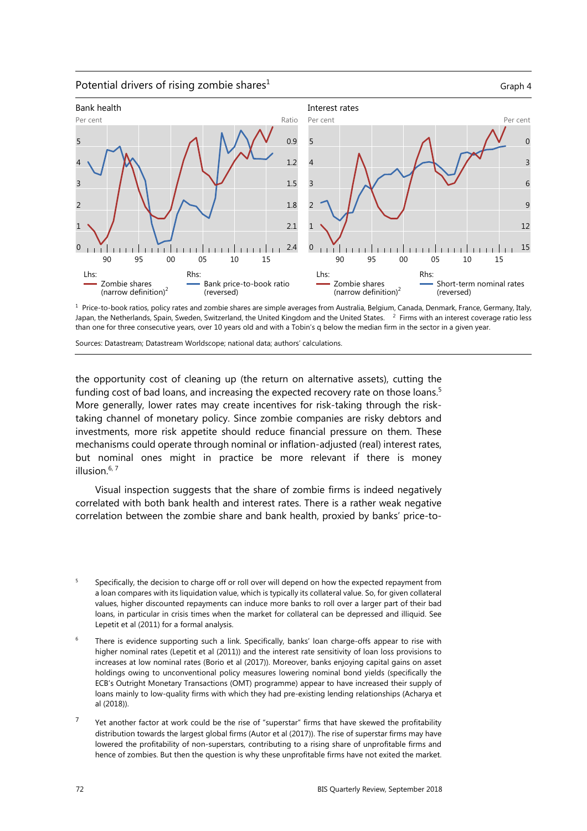Potential drivers of rising zombie shares<sup>1</sup>  $G$ raph 4



 $1$  Price-to-book ratios, policy rates and zombie shares are simple averages from Australia, Belgium, Canada, Denmark, France, Germany, Italy, Japan, the Netherlands, Spain, Sweden, Switzerland, the United Kingdom and the United States. <sup>2</sup> Firms with an interest coverage ratio less than one for three consecutive years, over 10 years old and with a Tobin's q below the median firm in the sector in a given year.

Sources: Datastream; Datastream Worldscope; national data; authors' calculations.

the opportunity cost of cleaning up (the return on alternative assets), cutting the funding cost of bad loans, and increasing the expected recovery rate on those loans.<sup>5</sup> More generally, lower rates may create incentives for risk-taking through the risktaking channel of monetary policy. Since zombie companies are risky debtors and investments, more risk appetite should reduce financial pressure on them. These mechanisms could operate through nominal or inflation-adjusted (real) interest rates, but nominal ones might in practice be more relevant if there is money illusion.<sup>[6,](#page-5-1) [7](#page-5-0)</sup>

Visual inspection suggests that the share of zombie firms is indeed negatively correlated with both bank health and interest rates. There is a rather weak negative correlation between the zombie share and bank health, proxied by banks' price-to-

- <span id="page-5-2"></span>5 Specifically, the decision to charge off or roll over will depend on how the expected repayment from a loan compares with its liquidation value, which is typically its collateral value. So, for given collateral values, higher discounted repayments can induce more banks to roll over a larger part of their bad loans, in particular in crisis times when the market for collateral can be depressed and illiquid. See Lepetit et al (2011) for a formal analysis.
- <span id="page-5-1"></span>6 There is evidence supporting such a link. Specifically, banks' loan charge-offs appear to rise with higher nominal rates (Lepetit et al (2011)) and the interest rate sensitivity of loan loss provisions to increases at low nominal rates (Borio et al (2017)). Moreover, banks enjoying capital gains on asset holdings owing to unconventional policy measures lowering nominal bond yields (specifically the ECB's Outright Monetary Transactions (OMT) programme) appear to have increased their supply of loans mainly to low-quality firms with which they had pre-existing lending relationships (Acharya et al (2018)).
- <span id="page-5-0"></span><sup>7</sup> Yet another factor at work could be the rise of "superstar" firms that have skewed the profitability distribution towards the largest global firms (Autor et al (2017)). The rise of superstar firms may have lowered the profitability of non-superstars, contributing to a rising share of unprofitable firms and hence of zombies. But then the question is why these unprofitable firms have not exited the market.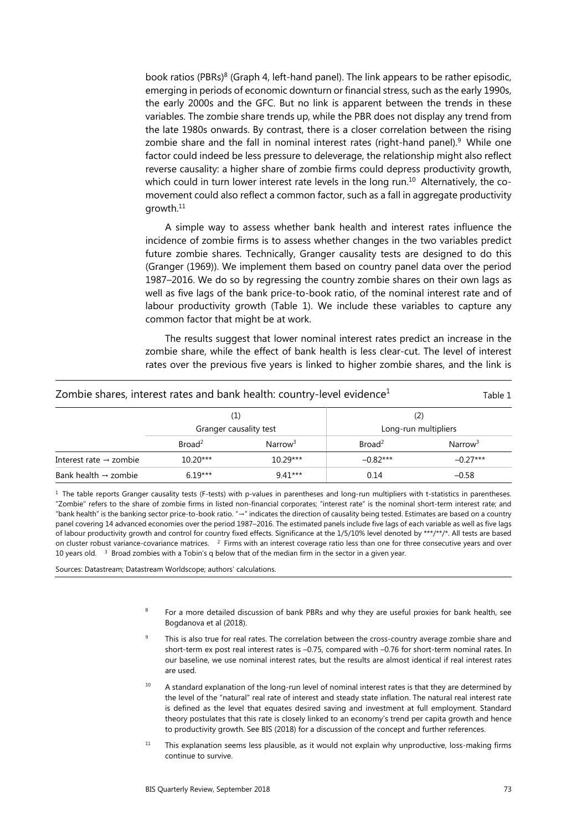book ratios (PBRs)<sup>[8](#page-6-3)</sup> (Graph 4, left-hand panel). The link appears to be rather episodic, emerging in periods of economic downturn or financial stress, such as the early 1990s, the early 2000s and the GFC. But no link is apparent between the trends in these variables. The zombie share trends up, while the PBR does not display any trend from the late 1980s onwards. By contrast, there is a closer correlation between the rising zombie share and the fall in nominal interest rates (right-hand panel). $9$  While one factor could indeed be less pressure to deleverage, the relationship might also reflect reverse causality: a higher share of zombie firms could depress productivity growth, which could in turn lower interest rate levels in the long run.<sup>10</sup> Alternatively, the comovement could also reflect a common factor, such as a fall in aggregate productivity growth.[11](#page-6-0)

A simple way to assess whether bank health and interest rates influence the incidence of zombie firms is to assess whether changes in the two variables predict future zombie shares. Technically, Granger causality tests are designed to do this (Granger (1969)). We implement them based on country panel data over the period 1987–2016. We do so by regressing the country zombie shares on their own lags as well as five lags of the bank price-to-book ratio, of the nominal interest rate and of labour productivity growth (Table 1). We include these variables to capture any common factor that might be at work.

The results suggest that lower nominal interest rates predict an increase in the zombie share, while the effect of bank health is less clear-cut. The level of interest rates over the previous five years is linked to higher zombie shares, and the link is

| Zombie shares, interest rates and bank health: country-level evidence $^1$ |                               |                     |                             |                     |
|----------------------------------------------------------------------------|-------------------------------|---------------------|-----------------------------|---------------------|
|                                                                            | (1)<br>Granger causality test |                     | (2)<br>Long-run multipliers |                     |
|                                                                            | Broad <sup>2</sup>            | Narrow <sup>3</sup> | Broad <sup>2</sup>          | Narrow <sup>3</sup> |
| Interest rate $\rightarrow$ zombie                                         | $10.20***$                    | $10.29***$          | $-0.82***$                  | $-0.27***$          |
| Bank health $\rightarrow$ zombie                                           | $6.19***$                     | $9.41***$           | 0.14                        | $-0.58$             |

 $<sup>1</sup>$  The table reports Granger causality tests (F-tests) with p-values in parentheses and long-run multipliers with t-statistics in parentheses.</sup> "Zombie" refers to the share of zombie firms in listed non-financial corporates; "interest rate" is the nominal short-term interest rate; and "bank health" is the banking sector price-to-book ratio. "→" indicates the direction of causality being tested. Estimates are based on a country panel covering 14 advanced economies over the period 1987–2016. The estimated panels include five lags of each variable as well as five lags of labour productivity growth and control for country fixed effects. Significance at the 1/5/10% level denoted by \*\*\*/\*\*/\*. All tests are based on cluster robust variance-covariance matrices.  $2$  Firms with an interest coverage ratio less than one for three consecutive years and over 10 years old. <sup>3</sup> Broad zombies with a Tobin's q below that of the median firm in the sector in a given year.

<span id="page-6-3"></span><span id="page-6-2"></span><span id="page-6-1"></span>Sources: Datastream; Datastream Worldscope; authors' calculations.

- 8 For a more detailed discussion of bank PBRs and why they are useful proxies for bank health, see Bogdanova et al (2018).
- 9 This is also true for real rates. The correlation between the cross-country average zombie share and short-term ex post real interest rates is –0.75, compared with –0.76 for short-term nominal rates. In our baseline, we use nominal interest rates, but the results are almost identical if real interest rates are used.
- $10$  A standard explanation of the long-run level of nominal interest rates is that they are determined by the level of the "natural" real rate of interest and steady state inflation. The natural real interest rate is defined as the level that equates desired saving and investment at full employment. Standard theory postulates that this rate is closely linked to an economy's trend per capita growth and hence to productivity growth. See BIS (2018) for a discussion of the concept and further references.
- <span id="page-6-0"></span> $11$  This explanation seems less plausible, as it would not explain why unproductive, loss-making firms continue to survive.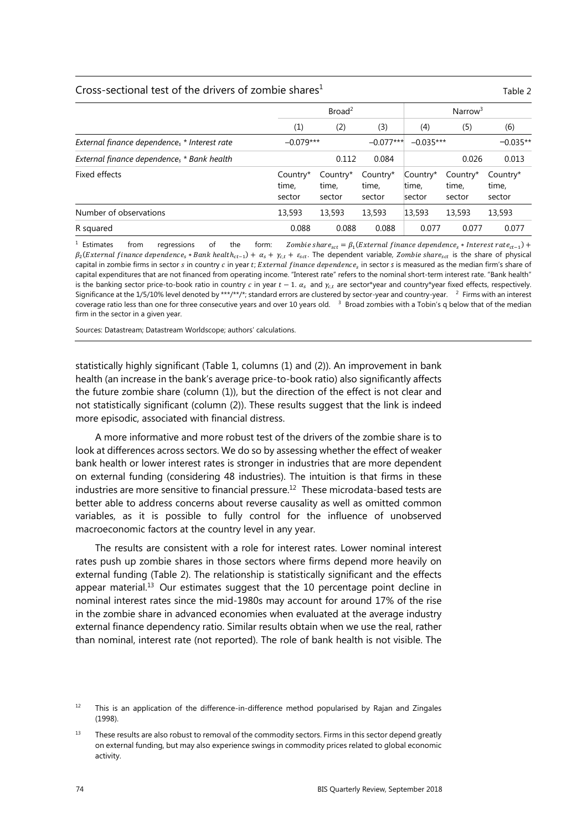#### Cross-sectional test of the drivers of zombie shares<sup>1</sup> Table 2

|                                              | Broad <sup>2</sup>          |                             |                             | Narrow <sup>3</sup>         |                             |                             |
|----------------------------------------------|-----------------------------|-----------------------------|-----------------------------|-----------------------------|-----------------------------|-----------------------------|
|                                              | (1)                         | (2)                         | (3)                         | (4)                         | (5)                         | (6)                         |
| External finance dependences * Interest rate | $-0.079***$                 |                             | $-0.077***$                 | $-0.035***$                 |                             | $-0.035**$                  |
| External finance dependences * Bank health   |                             | 0.112                       | 0.084                       |                             | 0.026                       | 0.013                       |
| Fixed effects                                | Country*<br>time,<br>sector | Country*<br>time,<br>sector | Country*<br>time,<br>sector | Country*<br>time,<br>sector | Country*<br>time.<br>sector | Country*<br>time,<br>sector |
| Number of observations                       | 13,593                      | 13,593                      | 13,593                      | 13,593                      | 13,593                      | 13,593                      |
| R squared                                    | 0.088                       | 0.088                       | 0.088                       | 0.077                       | 0.077                       | 0.077                       |

<sup>1</sup> Estimates from regressions of the form: Zombie share<sub>sct</sub> =  $\beta_1$ (External finance dependence<sub>s</sub> \* Interest rate<sub>ct-1</sub>) +  $\beta_2$ (External finance dependence<sub>s</sub> \* Bank health<sub>ct-1</sub>) +  $\alpha_s$  +  $\gamma_{c,t}$  +  $\varepsilon_{sct}$ . The dependent variable, Zombie share<sub>sct</sub> is the share of physical capital in zombie firms in sector s in country c in year t; External finance dependence<sub>s</sub> in sector s is measured as the median firm's share of capital expenditures that are not financed from operating income. "Interest rate" refers to the nominal short-term interest rate. "Bank health" is the banking sector price-to-book ratio in country  $c$  in year  $t-1$ .  $\alpha_s$  and  $\gamma_{c,t}$  are sector\*year and country\*year fixed effects, respectively. Significance at the 1/5/10% level denoted by \*\*\*/\*\*/\*; standard errors are clustered by sector-year and country-year. <sup>2</sup> Firms with an interest coverage ratio less than one for three consecutive years and over 10 years old.  $3$  Broad zombies with a Tobin's q below that of the median firm in the sector in a given year.

Sources: Datastream; Datastream Worldscope; authors' calculations.

statistically highly significant (Table 1, columns (1) and (2)). An improvement in bank health (an increase in the bank's average price-to-book ratio) also significantly affects the future zombie share (column (1)), but the direction of the effect is not clear and not statistically significant (column (2)). These results suggest that the link is indeed more episodic, associated with financial distress.

A more informative and more robust test of the drivers of the zombie share is to look at differences across sectors. We do so by assessing whether the effect of weaker bank health or lower interest rates is stronger in industries that are more dependent on external funding (considering 48 industries). The intuition is that firms in these industries are more sensitive to financial pressure.<sup>[12](#page-7-1)</sup> These microdata-based tests are better able to address concerns about reverse causality as well as omitted common variables, as it is possible to fully control for the influence of unobserved macroeconomic factors at the country level in any year.

The results are consistent with a role for interest rates. Lower nominal interest rates push up zombie shares in those sectors where firms depend more heavily on external funding (Table 2). The relationship is statistically significant and the effects appear material.<sup>13</sup> Our estimates suggest that the 10 percentage point decline in nominal interest rates since the mid-1980s may account for around 17% of the rise in the zombie share in advanced economies when evaluated at the average industry external finance dependency ratio. Similar results obtain when we use the real, rather than nominal, interest rate (not reported). The role of bank health is not visible. The

<span id="page-7-1"></span> $12$  This is an application of the difference-in-difference method popularised by Rajan and Zingales (1998).

<span id="page-7-0"></span> $13$  These results are also robust to removal of the commodity sectors. Firms in this sector depend greatly on external funding, but may also experience swings in commodity prices related to global economic activity.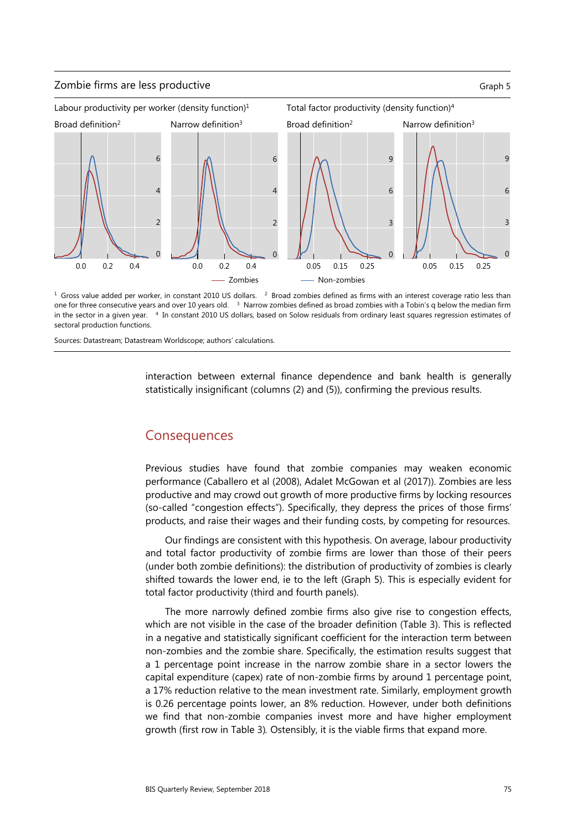





<sup>1</sup> Gross value added per worker, in constant 2010 US dollars. <sup>2</sup> Broad zombies defined as firms with an interest coverage ratio less than one for three consecutive years and over 10 years old. 3Narrow zombies defined as broad zombies with a Tobin's q below the median firm in the sector in a given year. <sup>4</sup> In constant 2010 US dollars, based on Solow residuals from ordinary least squares regression estimates of sectoral production functions.

Sources: Datastream; Datastream Worldscope; authors' calculations.

interaction between external finance dependence and bank health is generally statistically insignificant (columns (2) and (5)), confirming the previous results.

## **Consequences**

Previous studies have found that zombie companies may weaken economic performance (Caballero et al (2008), Adalet McGowan et al (2017)). Zombies are less productive and may crowd out growth of more productive firms by locking resources (so-called "congestion effects"). Specifically, they depress the prices of those firms' products, and raise their wages and their funding costs, by competing for resources.

Our findings are consistent with this hypothesis. On average, labour productivity and total factor productivity of zombie firms are lower than those of their peers (under both zombie definitions): the distribution of productivity of zombies is clearly shifted towards the lower end, ie to the left (Graph 5). This is especially evident for total factor productivity (third and fourth panels).

The more narrowly defined zombie firms also give rise to congestion effects, which are not visible in the case of the broader definition (Table 3). This is reflected in a negative and statistically significant coefficient for the interaction term between non-zombies and the zombie share. Specifically, the estimation results suggest that a 1 percentage point increase in the narrow zombie share in a sector lowers the capital expenditure (capex) rate of non-zombie firms by around 1 percentage point, a 17% reduction relative to the mean investment rate. Similarly, employment growth is 0.26 percentage points lower, an 8% reduction. However, under both definitions we find that non-zombie companies invest more and have higher employment growth (first row in Table 3)*.* Ostensibly, it is the viable firms that expand more.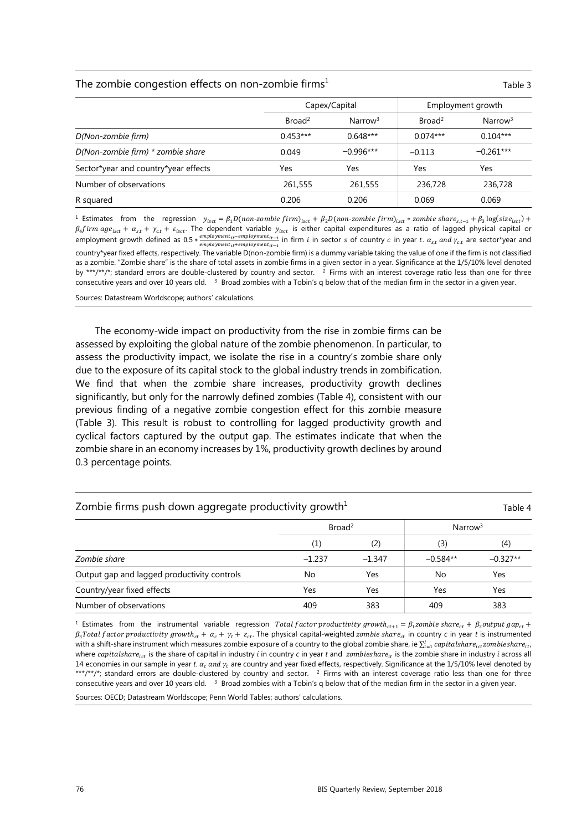#### The zombie congestion effects on non-zombie firms<sup>1</sup>  $\qquad \qquad$  Table 3

|                                      | Capex/Capital      |                     | Employment growth  |                     |
|--------------------------------------|--------------------|---------------------|--------------------|---------------------|
|                                      | Broad <sup>2</sup> | Narrow <sup>3</sup> | Broad <sup>2</sup> | Narrow <sup>3</sup> |
| D(Non-zombie firm)                   | $0.453***$         | $0.648***$          | $0.074***$         | $0.104***$          |
| D(Non-zombie firm) * zombie share    | 0.049              | $-0.996***$         | $-0.113$           | $-0.261***$         |
| Sector*year and country*year effects | Yes                | Yes                 | Yes                | Yes                 |
| Number of observations               | 261,555            | 261,555             | 236,728            | 236,728             |
| R squared                            | 0.206              | 0.206               | 0.069              | 0.069               |

<sup>1</sup> Estimates from the regression  $y_{\text{isct}} = \beta_1 D(\text{nonzombie firm})_{\text{isct}} + \beta_2 D(\text{nonzombie firm})_{\text{isct}} * \text{zombie share}_{\text{s.t-1}} + \beta_3 \log(\text{size}_{\text{isct}}) + \beta_4 D(\text{nonzombie firm})_{\text{isct}} + \beta_5 D(\text{nonzombie firm})_{\text{isct}} + \beta_6 D(\text{nonzombie firm})_{\text{isct}} + \beta_7 D(\text{nonzombie firm})_{\text{isct}} + \beta_7 D(\text{non$  $\beta_A$ firm age<sub>isct</sub> +  $\alpha_{s,t}$  +  $\gamma_{c,t}$  +  $\varepsilon_{isct}$ . The dependent variable  $\gamma_{isct}$  is either capital expenditures as a ratio of lagged physical capital or employment growth defined as 0.5 \*  $\frac{employment_{it}-employment_{it}-1}{employment_{it}-1}$  in firm  $i$  in sector  $s$  of country  $c$  in year  $t$ .  $\alpha_{s,t}$  and  $\gamma_{c,t}$  are sector\*year and country\*year fixed effects, respectively. The variable D(non-zombie firm) is a dummy variable taking the value of one if the firm is not classified as a zombie. "Zombie share" is the share of total assets in zombie firms in a given sector in a year. Significance at the 1/5/10% level denoted by \*\*\*/\*\*/\*; standard errors are double-clustered by country and sector. <sup>2</sup> Firms with an interest coverage ratio less than one for three consecutive years and over 10 years old. <sup>3</sup> Broad zombies with a Tobin's q below that of the median firm in the sector in a given year.

Sources: Datastream Worldscope; authors' calculations.

The economy-wide impact on productivity from the rise in zombie firms can be assessed by exploiting the global nature of the zombie phenomenon. In particular, to assess the productivity impact, we isolate the rise in a country's zombie share only due to the exposure of its capital stock to the global industry trends in zombification. We find that when the zombie share increases, productivity growth declines significantly, but only for the narrowly defined zombies (Table 4), consistent with our previous finding of a negative zombie congestion effect for this zombie measure (Table 3). This result is robust to controlling for lagged productivity growth and cyclical factors captured by the output gap. The estimates indicate that when the zombie share in an economy increases by 1%, productivity growth declines by around 0.3 percentage points.

| Zombie firms push down aggregate productivity growth $1$<br>Table 4 |                    |          |                     |            |
|---------------------------------------------------------------------|--------------------|----------|---------------------|------------|
|                                                                     | Broad <sup>2</sup> |          | Narrow <sup>3</sup> |            |
|                                                                     | $\left( 1\right)$  | (2)      | (3)                 | (4)        |
| Zombie share                                                        | $-1.237$           | $-1.347$ | $-0.584**$          | $-0.327**$ |
| Output gap and lagged productivity controls                         | No                 | Yes      | No                  | Yes        |
| Country/year fixed effects                                          | Yes                | Yes      | Yes                 | Yes        |
| Number of observations                                              | 409                | 383      | 409                 | 383        |

 $^1$  Estimates from the instrumental variable regression Total factor productivity growth<sub>ct+1</sub> =  $\beta_1$ zombie share<sub>ct</sub> +  $\beta_2$ output gap<sub>ct</sub> +  $\beta_3$ Total factor productivity growth<sub>et</sub> +  $\alpha_c + \gamma_t + \varepsilon_{ct}$ . The physical capital-weighted zombie share<sub>ct</sub> in country c in year *t* is instrumented with a shift-share instrument which measures zombie exposure of a country to the global zombie share, ie  $\sum_{i=1}^l{capitals}$   $harel_{ic}$   $zombiesharel_{it}$  , where capitalshare<sub>ict</sub> is the share of capital in industry *i* in country c in year t and *zombieshare*<sub>ir</sub> is the zombie share in industry *i* across all 14 economies in our sample in year *t*.  $\alpha_c$  and  $\gamma_t$  are country and year fixed effects, respectively. Significance at the 1/5/10% level denoted by \*\*\*/\*\*/\*; standard errors are double-clustered by country and sector. <sup>2</sup> Firms with an interest coverage ratio less than one for three consecutive years and over 10 years old. 3 Broad zombies with a Tobin's q below that of the median firm in the sector in a given year.

Sources: OECD; Datastream Worldscope; Penn World Tables; authors' calculations.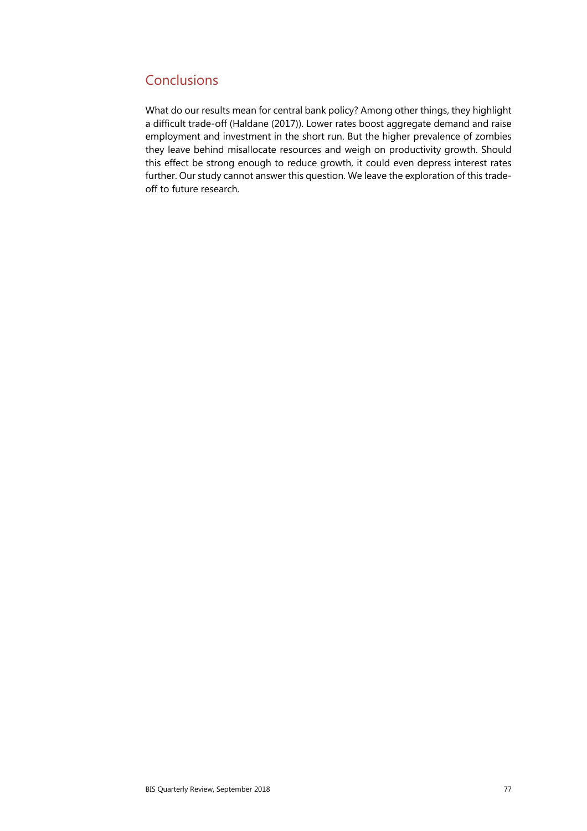# **Conclusions**

What do our results mean for central bank policy? Among other things, they highlight a difficult trade-off (Haldane (2017)). Lower rates boost aggregate demand and raise employment and investment in the short run. But the higher prevalence of zombies they leave behind misallocate resources and weigh on productivity growth. Should this effect be strong enough to reduce growth, it could even depress interest rates further. Our study cannot answer this question. We leave the exploration of this tradeoff to future research.